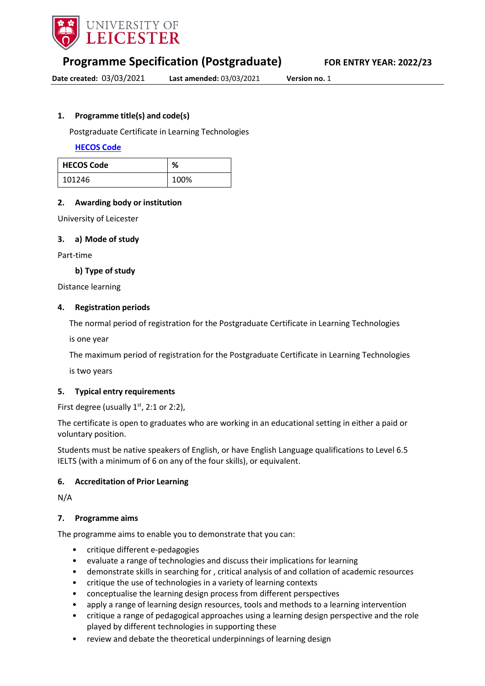

**Programme Specification (Postgraduate) FOR ENTRY YEAR: 2022/23**

**Date created:** 03/03/2021 **Last amended:** 03/03/2021 **Version no.** 1

# <span id="page-0-0"></span>**1. Programme title(s) and code(s)**

Postgraduate Certificate in Learning Technologies

**[HECOS](https://www.hesa.ac.uk/innovation/hecos) Code**

| <b>HECOS Code</b> | %    |
|-------------------|------|
| 101246            | 100% |

# **2. Awarding body or institution**

University of Leicester

#### **3. a) Mode of study**

Part-time

#### **b) Type of study**

Distance learning

#### **4. Registration periods**

The normal period of registration for the Postgraduate Certificate in Learning Technologies

is one year

The maximum period of registration for the Postgraduate Certificate in Learning Technologies

is two years

#### **5. Typical entry requirements**

First degree (usually  $1<sup>st</sup>$ , 2:1 or 2:2),

The certificate is open to graduates who are working in an educational setting in either a paid or voluntary position.

Students must be native speakers of English, or have English Language qualifications to Level 6.5 IELTS (with a minimum of 6 on any of the four skills), or equivalent.

#### **6. Accreditation of Prior Learning**

N/A

#### **7. Programme aims**

The programme aims to enable you to demonstrate that you can:

- critique different e-pedagogies
- evaluate a range of technologies and discuss their implications for learning
- demonstrate skills in searching for , critical analysis of and collation of academic resources
- critique the use of technologies in a variety of learning contexts
- conceptualise the learning design process from different perspectives
- apply a range of learning design resources, tools and methods to a learning intervention
- critique a range of pedagogical approaches using a learning design perspective and the role played by different technologies in supporting these
- review and debate the theoretical underpinnings of learning design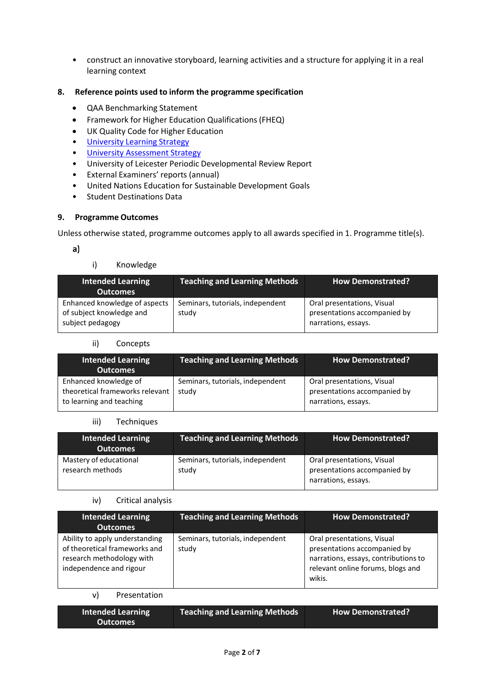• construct an innovative storyboard, learning activities and a structure for applying it in a real learning context

# **8. Reference points used to inform the programme specification**

- QAA Benchmarking Statement
- Framework for Higher Education Qualifications (FHEQ)
- UK Quality Code for Higher Education
- [University](https://www2.le.ac.uk/offices/sas2/quality/learnteach) Learning Strategy
- University [Assessment](https://www2.le.ac.uk/offices/sas2/quality/learnteach) Strategy
- University of Leicester Periodic Developmental Review Report
- External Examiners' reports (annual)
- United Nations Education for Sustainable Development Goals
- Student Destinations Data

#### **9. Programme Outcomes**

Unless otherwise stated, programme outcomes apply to all awards specified in [1.](#page-0-0) Programme title(s).

 $a)$ 

# i) Knowledge

| <b>Intended Learning</b><br><b>Outcomes</b>                                   | <b>Teaching and Learning Methods</b>      | <b>How Demonstrated?</b>                                                          |
|-------------------------------------------------------------------------------|-------------------------------------------|-----------------------------------------------------------------------------------|
| Enhanced knowledge of aspects<br>of subject knowledge and<br>subject pedagogy | Seminars, tutorials, independent<br>study | Oral presentations, Visual<br>presentations accompanied by<br>narrations, essays. |

#### ii) Concepts

| <b>Intended Learning</b><br><b>Outcomes</b>                                          | <b>Teaching and Learning Methods</b>      | <b>How Demonstrated?</b>                                                          |
|--------------------------------------------------------------------------------------|-------------------------------------------|-----------------------------------------------------------------------------------|
| Enhanced knowledge of<br>theoretical frameworks relevant<br>to learning and teaching | Seminars, tutorials, independent<br>study | Oral presentations, Visual<br>presentations accompanied by<br>narrations, essays. |

#### iii) Techniques

| <b>Intended Learning</b><br><b>Outcomes</b> | <b>Teaching and Learning Methods</b>      | <b>How Demonstrated?</b>                                                          |
|---------------------------------------------|-------------------------------------------|-----------------------------------------------------------------------------------|
| Mastery of educational<br>research methods  | Seminars, tutorials, independent<br>study | Oral presentations, Visual<br>presentations accompanied by<br>narrations, essays. |

#### iv) Critical analysis

| <b>Intended Learning</b><br><b>Outcomes</b>                                                                             | <b>Teaching and Learning Methods</b>      | <b>How Demonstrated?</b>                                                                                                                          |
|-------------------------------------------------------------------------------------------------------------------------|-------------------------------------------|---------------------------------------------------------------------------------------------------------------------------------------------------|
| Ability to apply understanding<br>of theoretical frameworks and<br>research methodology with<br>independence and rigour | Seminars, tutorials, independent<br>study | Oral presentations, Visual<br>presentations accompanied by<br>narrations, essays, contributions to<br>relevant online forums, blogs and<br>wikis. |

#### v) Presentation

| Intended Learning | <b>Teaching and Learning Methods</b> | <b>How Demonstrated?</b> |
|-------------------|--------------------------------------|--------------------------|
| Outcomes          |                                      |                          |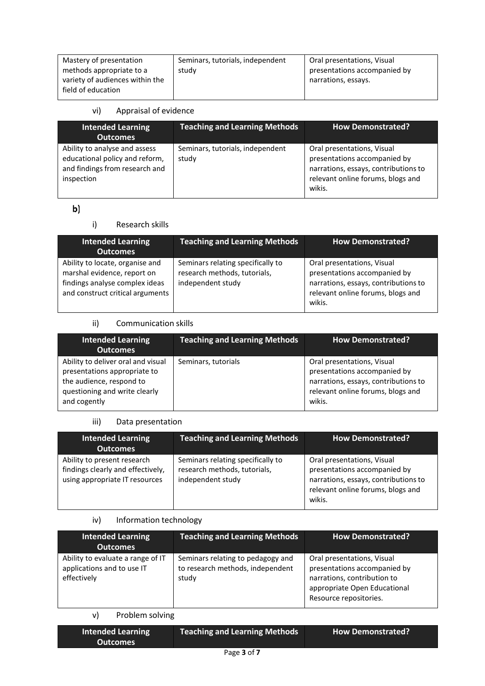| Mastery of presentation         | Seminars, tutorials, independent | Oral presentations, Visual   |
|---------------------------------|----------------------------------|------------------------------|
| methods appropriate to a        | study                            | presentations accompanied by |
| variety of audiences within the |                                  | narrations, essays.          |
| field of education              |                                  |                              |

# vi) Appraisal of evidence

| <b>Intended Learning</b><br><b>Outcomes</b>                                                                     | <b>Teaching and Learning Methods</b>      | <b>How Demonstrated?</b>                                                                                                                          |
|-----------------------------------------------------------------------------------------------------------------|-------------------------------------------|---------------------------------------------------------------------------------------------------------------------------------------------------|
| Ability to analyse and assess<br>educational policy and reform,<br>and findings from research and<br>inspection | Seminars, tutorials, independent<br>study | Oral presentations, Visual<br>presentations accompanied by<br>narrations, essays, contributions to<br>relevant online forums, blogs and<br>wikis. |

# $\mathbf{b}$

# i) Research skills

| <b>Intended Learning</b><br><b>Outcomes</b>                                                                                          | <b>Teaching and Learning Methods</b>                                                   | <b>How Demonstrated?</b>                                                                                                                          |
|--------------------------------------------------------------------------------------------------------------------------------------|----------------------------------------------------------------------------------------|---------------------------------------------------------------------------------------------------------------------------------------------------|
| Ability to locate, organise and<br>marshal evidence, report on<br>findings analyse complex ideas<br>and construct critical arguments | Seminars relating specifically to<br>research methods, tutorials,<br>independent study | Oral presentations, Visual<br>presentations accompanied by<br>narrations, essays, contributions to<br>relevant online forums, blogs and<br>wikis. |

# ii) Communication skills

| <b>Intended Learning</b><br><b>Outcomes</b>                                                                                                     | <b>Teaching and Learning Methods</b> | <b>How Demonstrated?</b>                                                                                                                          |
|-------------------------------------------------------------------------------------------------------------------------------------------------|--------------------------------------|---------------------------------------------------------------------------------------------------------------------------------------------------|
| Ability to deliver oral and visual<br>presentations appropriate to<br>the audience, respond to<br>questioning and write clearly<br>and cogently | Seminars, tutorials                  | Oral presentations, Visual<br>presentations accompanied by<br>narrations, essays, contributions to<br>relevant online forums, blogs and<br>wikis. |

# iii) Data presentation

| <b>Intended Learning</b><br><b>Outcomes</b>                                                        | <b>Teaching and Learning Methods</b>                                                   | <b>How Demonstrated?</b>                                                                                                                          |
|----------------------------------------------------------------------------------------------------|----------------------------------------------------------------------------------------|---------------------------------------------------------------------------------------------------------------------------------------------------|
| Ability to present research<br>findings clearly and effectively,<br>using appropriate IT resources | Seminars relating specifically to<br>research methods, tutorials,<br>independent study | Oral presentations, Visual<br>presentations accompanied by<br>narrations, essays, contributions to<br>relevant online forums, blogs and<br>wikis. |

# iv) Information technology

| <b>Intended Learning</b><br><b>Outcomes</b>                                    | <b>Teaching and Learning Methods</b>                                           | <b>How Demonstrated?</b>                                                                                                                            |
|--------------------------------------------------------------------------------|--------------------------------------------------------------------------------|-----------------------------------------------------------------------------------------------------------------------------------------------------|
| Ability to evaluate a range of IT<br>applications and to use IT<br>effectively | Seminars relating to pedagogy and<br>to research methods, independent<br>study | Oral presentations, Visual<br>presentations accompanied by<br>narrations, contribution to<br>appropriate Open Educational<br>Resource repositories. |

# v) Problem solving

| <b>Intended Learning</b><br><b>Outcomes</b> | Teaching and Learning Methods | <b>How Demonstrated?</b> |  |
|---------------------------------------------|-------------------------------|--------------------------|--|
|                                             | Page 3 of 7                   |                          |  |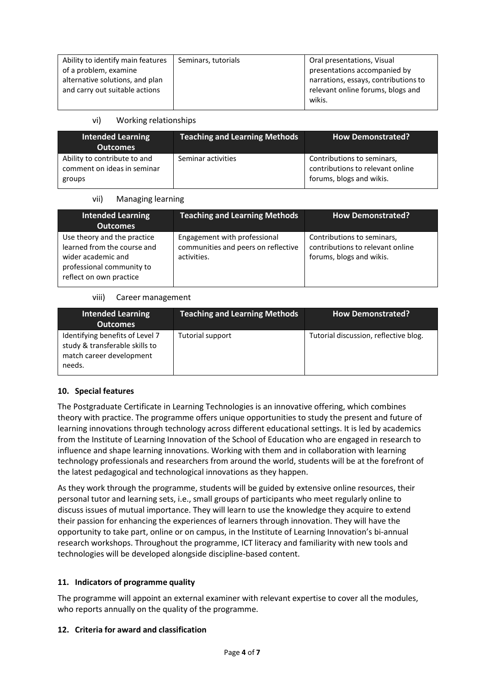| Ability to identify main features | Seminars, tutorials | Oral presentations, Visual           |
|-----------------------------------|---------------------|--------------------------------------|
| of a problem, examine             |                     | presentations accompanied by         |
| alternative solutions, and plan   |                     | narrations, essays, contributions to |
| and carry out suitable actions    |                     | relevant online forums, blogs and    |
|                                   |                     | wikis.                               |

# vi) Working relationships

| <b>Intended Learning</b><br><b>Outcomes</b>                           | <b>Teaching and Learning Methods</b> | <b>How Demonstrated?</b>                                                                   |
|-----------------------------------------------------------------------|--------------------------------------|--------------------------------------------------------------------------------------------|
| Ability to contribute to and<br>comment on ideas in seminar<br>groups | Seminar activities                   | Contributions to seminars,<br>contributions to relevant online<br>forums, blogs and wikis. |

# vii) Managing learning

| <b>Intended Learning</b><br><b>Outcomes</b>                                                                                              | <b>Teaching and Learning Methods</b>                                               | <b>How Demonstrated?</b>                                                                   |
|------------------------------------------------------------------------------------------------------------------------------------------|------------------------------------------------------------------------------------|--------------------------------------------------------------------------------------------|
| Use theory and the practice<br>learned from the course and<br>wider academic and<br>professional community to<br>reflect on own practice | Engagement with professional<br>communities and peers on reflective<br>activities. | Contributions to seminars,<br>contributions to relevant online<br>forums, blogs and wikis. |

# viii) Career management

| <b>Intended Learning</b><br><b>Outcomes</b>                                                             | <b>Teaching and Learning Methods</b> | <b>How Demonstrated?</b>              |
|---------------------------------------------------------------------------------------------------------|--------------------------------------|---------------------------------------|
| Identifying benefits of Level 7<br>study & transferable skills to<br>match career development<br>needs. | Tutorial support                     | Tutorial discussion, reflective blog. |

# **10. Special features**

The Postgraduate Certificate in Learning Technologies is an innovative offering, which combines theory with practice. The programme offers unique opportunities to study the present and future of learning innovations through technology across different educational settings. It is led by academics from the Institute of Learning Innovation of the School of Education who are engaged in research to influence and shape learning innovations. Working with them and in collaboration with learning technology professionals and researchers from around the world, students will be at the forefront of the latest pedagogical and technological innovations as they happen.

As they work through the programme, students will be guided by extensive online resources, their personal tutor and learning sets, i.e., small groups of participants who meet regularly online to discuss issues of mutual importance. They will learn to use the knowledge they acquire to extend their passion for enhancing the experiences of learners through innovation. They will have the opportunity to take part, online or on campus, in the Institute of Learning Innovation's bi-annual research workshops. Throughout the programme, ICT literacy and familiarity with new tools and technologies will be developed alongside discipline-based content.

# **11. Indicators of programme quality**

The programme will appoint an external examiner with relevant expertise to cover all the modules, who reports annually on the quality of the programme.

#### **12. Criteria for award and classification**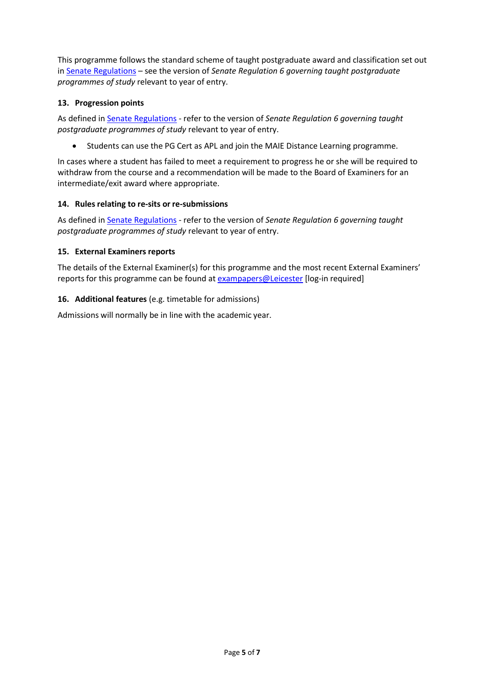This programme follows the standard scheme of taught postgraduate award and classification set out i[n Senate Regulations](http://www.le.ac.uk/senate-regulations) – see the version of *Senate Regulation 6 governing taught postgraduate programmes of study* relevant to year of entry.

# **13. Progression points**

As defined i[n Senate Regulations](http://www.le.ac.uk/senate-regulation6) - refer to the version of *Senate Regulation 6 governing taught postgraduate programmes of study* relevant to year of entry.

• Students can use the PG Cert as APL and join the MAIE Distance Learning programme.

In cases where a student has failed to meet a requirement to progress he or she will be required to withdraw from the course and a recommendation will be made to the Board of Examiners for an intermediate/exit award where appropriate.

# **14. Rules relating to re-sits or re-submissions**

As defined i[n Senate Regulations](http://www.le.ac.uk/senate-regulation6) - refer to the version of *Senate Regulation 6 governing taught postgraduate programmes of study* relevant to year of entry.

# **15. External Examiners reports**

The details of the External Examiner(s) for this programme and the most recent External Examiners' reports for this programme can be found at [exampapers@Leicester](https://exampapers.le.ac.uk/) [log-in required]

# **16. Additional features** (e.g. timetable for admissions)

Admissions will normally be in line with the academic year.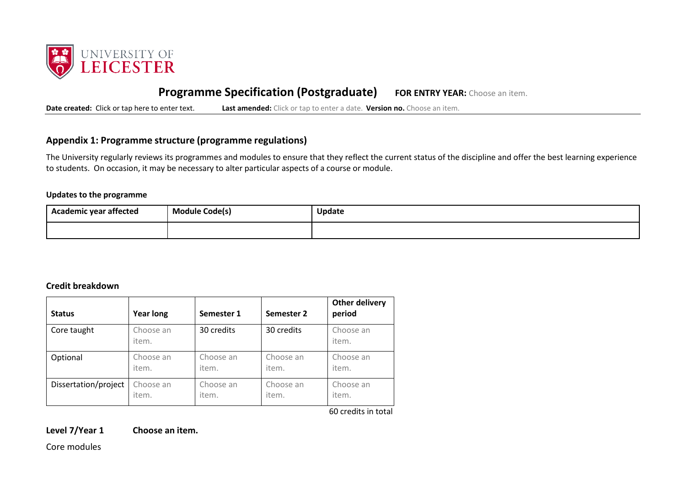

# **Programme Specification (Postgraduate) FOR ENTRY YEAR:** Choose an item.

**Date created:** Click or tap here to enter text. **Last amended:** Click or tap to enter a date. **Version no.** Choose an item.

# **Appendix 1: Programme structure (programme regulations)**

The University regularly reviews its programmes and modules to ensure that they reflect the current status of the discipline and offer the best learning experience to students. On occasion, it may be necessary to alter particular aspects of a course or module.

#### **Updates to the programme**

| Academic year affected | --<br>Module Code(s) | <b>Update</b> |
|------------------------|----------------------|---------------|
|                        |                      |               |

#### **Credit breakdown**

| <b>Status</b>        | <b>Year long</b>   | Semester 1 | Semester 2 | <b>Other delivery</b><br>period |
|----------------------|--------------------|------------|------------|---------------------------------|
| Core taught          | Choose an<br>item. | 30 credits | 30 credits | Choose an<br>item.              |
| Optional             | Choose an          | Choose an  | Choose an  | Choose an                       |
|                      | item.              | item.      | item.      | item.                           |
| Dissertation/project | Choose an          | Choose an  | Choose an  | Choose an                       |
|                      | item.              | item.      | item.      | item.                           |

60 credits in total

**Level 7/Year 1 Choose an item.**

Core modules